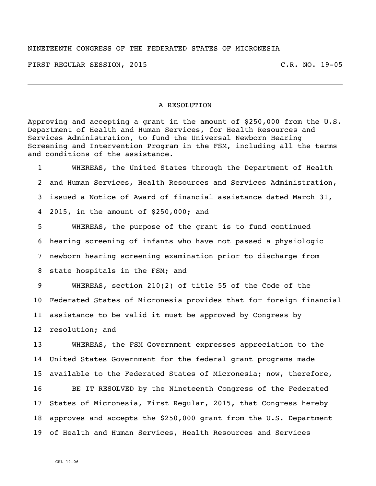## NINETEENTH CONGRESS OF THE FEDERATED STATES OF MICRONESIA

FIRST REGULAR SESSION, 2015 C.R. NO. 19-05

## A RESOLUTION

Approving and accepting a grant in the amount of \$250,000 from the U.S. Department of Health and Human Services, for Health Resources and Services Administration, to fund the Universal Newborn Hearing Screening and Intervention Program in the FSM, including all the terms and conditions of the assistance.

 WHEREAS, the United States through the Department of Health and Human Services, Health Resources and Services Administration, issued a Notice of Award of financial assistance dated March 31, 2015, in the amount of \$250,000; and

 WHEREAS, the purpose of the grant is to fund continued hearing screening of infants who have not passed a physiologic newborn hearing screening examination prior to discharge from state hospitals in the FSM; and

 WHEREAS, section 210(2) of title 55 of the Code of the Federated States of Micronesia provides that for foreign financial assistance to be valid it must be approved by Congress by resolution; and

 WHEREAS, the FSM Government expresses appreciation to the United States Government for the federal grant programs made available to the Federated States of Micronesia; now, therefore,

 BE IT RESOLVED by the Nineteenth Congress of the Federated States of Micronesia, First Regular, 2015, that Congress hereby approves and accepts the \$250,000 grant from the U.S. Department of Health and Human Services, Health Resources and Services